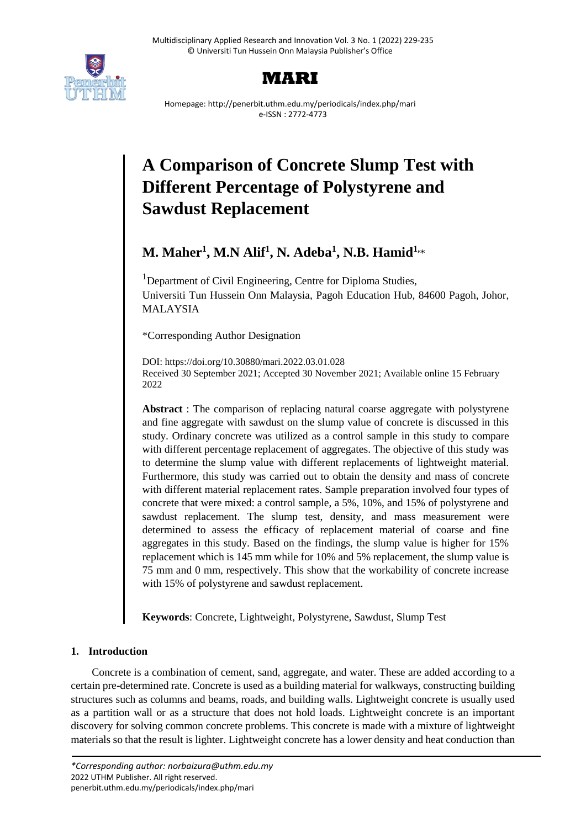



Homepage: http://penerbit.uthm.edu.my/periodicals/index.php/mari e-ISSN : 2772-4773

# **A Comparison of Concrete Slump Test with Different Percentage of Polystyrene and Sawdust Replacement**

# **M. Maher<sup>1</sup> , M.N Alif<sup>1</sup> , N. Adeba<sup>1</sup> , N.B. Hamid1,**\*

<sup>1</sup>Department of Civil Engineering, Centre for Diploma Studies, Universiti Tun Hussein Onn Malaysia, Pagoh Education Hub, 84600 Pagoh, Johor, MALAYSIA

\*Corresponding Author Designation

DOI: https://doi.org/10.30880/mari.2022.03.01.028 Received 30 September 2021; Accepted 30 November 2021; Available online 15 February 2022

**Abstract** : The comparison of replacing natural coarse aggregate with polystyrene and fine aggregate with sawdust on the slump value of concrete is discussed in this study. Ordinary concrete was utilized as a control sample in this study to compare with different percentage replacement of aggregates. The objective of this study was to determine the slump value with different replacements of lightweight material. Furthermore, this study was carried out to obtain the density and mass of concrete with different material replacement rates. Sample preparation involved four types of concrete that were mixed: a control sample, a 5%, 10%, and 15% of polystyrene and sawdust replacement. The slump test, density, and mass measurement were determined to assess the efficacy of replacement material of coarse and fine aggregates in this study. Based on the findings, the slump value is higher for 15% replacement which is 145 mm while for 10% and 5% replacement, the slump value is 75 mm and 0 mm, respectively. This show that the workability of concrete increase with 15% of polystyrene and sawdust replacement.

**Keywords**: Concrete, Lightweight, Polystyrene, Sawdust, Slump Test

# **1. Introduction**

Concrete is a combination of cement, sand, aggregate, and water. These are added according to a certain pre-determined rate. Concrete is used as a building material for walkways, constructing building structures such as columns and beams, roads, and building walls. Lightweight concrete is usually used as a partition wall or as a structure that does not hold loads. Lightweight concrete is an important discovery for solving common concrete problems. This concrete is made with a mixture of lightweight materials so that the result is lighter. Lightweight concrete has a lower density and heat conduction than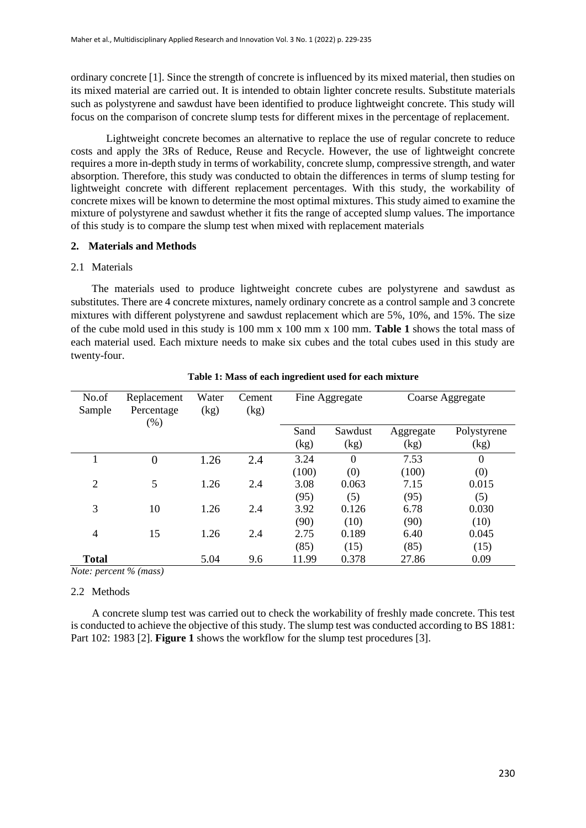ordinary concrete [1]. Since the strength of concrete is influenced by its mixed material, then studies on its mixed material are carried out. It is intended to obtain lighter concrete results. Substitute materials such as polystyrene and sawdust have been identified to produce lightweight concrete. This study will focus on the comparison of concrete slump tests for different mixes in the percentage of replacement.

Lightweight concrete becomes an alternative to replace the use of regular concrete to reduce costs and apply the 3Rs of Reduce, Reuse and Recycle. However, the use of lightweight concrete requires a more in-depth study in terms of workability, concrete slump, compressive strength, and water absorption. Therefore, this study was conducted to obtain the differences in terms of slump testing for lightweight concrete with different replacement percentages. With this study, the workability of concrete mixes will be known to determine the most optimal mixtures. This study aimed to examine the mixture of polystyrene and sawdust whether it fits the range of accepted slump values. The importance of this study is to compare the slump test when mixed with replacement materials

# **2. Materials and Methods**

#### 2.1 Materials

The materials used to produce lightweight concrete cubes are polystyrene and sawdust as substitutes. There are 4 concrete mixtures, namely ordinary concrete as a control sample and 3 concrete mixtures with different polystyrene and sawdust replacement which are 5%, 10%, and 15%. The size of the cube mold used in this study is 100 mm x 100 mm x 100 mm. **Table 1** shows the total mass of each material used. Each mixture needs to make six cubes and the total cubes used in this study are twenty-four.

| No.of                        | Replacement                            | Water | Cement | Fine Aggregate |          | Coarse Aggregate |             |
|------------------------------|----------------------------------------|-------|--------|----------------|----------|------------------|-------------|
| Sample                       | Percentage<br>$(\% )$                  | (kg)  | (kg)   |                |          |                  |             |
|                              |                                        |       |        | Sand           | Sawdust  | Aggregate        | Polystyrene |
|                              |                                        |       |        | (kg)           | (kg)     | (kg)             | (kg)        |
|                              | $\overline{0}$                         | 1.26  | 2.4    | 3.24           | $\Omega$ | 7.53             | $\theta$    |
|                              |                                        |       |        | (100)          | (0)      | (100)            | (0)         |
| 2                            | 5                                      | 1.26  | 2.4    | 3.08           | 0.063    | 7.15             | 0.015       |
|                              |                                        |       |        | (95)           | (5)      | (95)             | (5)         |
| 3                            | 10                                     | 1.26  | 2.4    | 3.92           | 0.126    | 6.78             | 0.030       |
|                              |                                        |       |        | (90)           | (10)     | (90)             | (10)        |
| $\overline{4}$               | 15                                     | 1.26  | 2.4    | 2.75           | 0.189    | 6.40             | 0.045       |
|                              |                                        |       |        | (85)           | (15)     | (85)             | (15)        |
| <b>Total</b><br>$\mathbf{v}$ | $\sim$ $\sim$ $\sim$<br><b>Service</b> | 5.04  | 9.6    | 11.99          | 0.378    | 27.86            | 0.09        |

|  |  | Table 1: Mass of each ingredient used for each mixture |  |  |
|--|--|--------------------------------------------------------|--|--|
|  |  |                                                        |  |  |

*Note: percent % (mass)*

# 2.2 Methods

A concrete slump test was carried out to check the workability of freshly made concrete. This test is conducted to achieve the objective of this study. The slump test was conducted according to BS 1881: Part 102: 1983 [2]. **Figure 1** shows the workflow for the slump test procedures [3].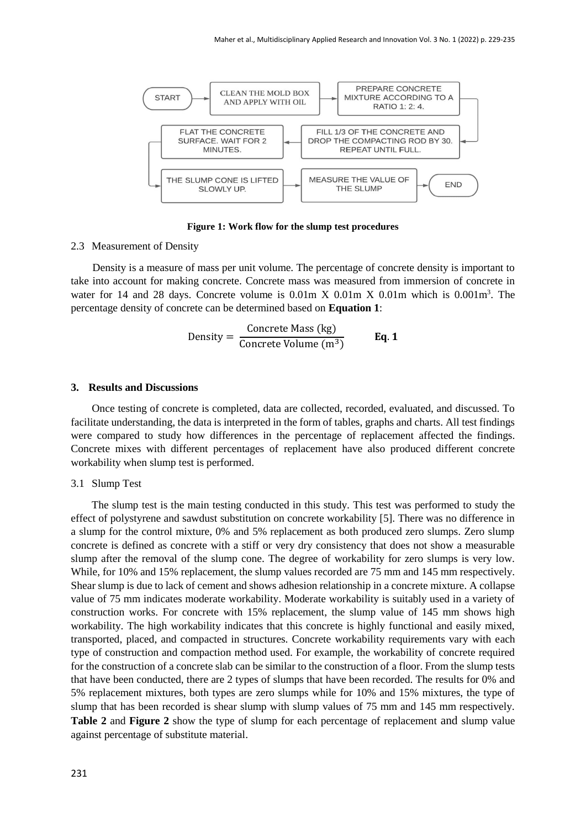

**Figure 1: Work flow for the slump test procedures**

#### 2.3 Measurement of Density

Density is a measure of mass per unit volume. The percentage of concrete density is important to take into account for making concrete. Concrete mass was measured from immersion of concrete in water for 14 and 28 days. Concrete volume is  $0.01m$  X  $0.01m$  X  $0.01m$  which is  $0.001m<sup>3</sup>$ . The percentage density of concrete can be determined based on **Equation 1**:

Density = 
$$
\frac{\text{Concrete Mass (kg)}}{\text{Concrete Volume (m}^3)}
$$
 Eq. 1

#### **3. Results and Discussions**

Once testing of concrete is completed, data are collected, recorded, evaluated, and discussed. To facilitate understanding, the data is interpreted in the form of tables, graphs and charts. All test findings were compared to study how differences in the percentage of replacement affected the findings. Concrete mixes with different percentages of replacement have also produced different concrete workability when slump test is performed.

#### 3.1 Slump Test

The slump test is the main testing conducted in this study. This test was performed to study the effect of polystyrene and sawdust substitution on concrete workability [5]. There was no difference in a slump for the control mixture, 0% and 5% replacement as both produced zero slumps. Zero slump concrete is defined as concrete with a stiff or very dry consistency that does not show a measurable slump after the removal of the slump cone. The degree of workability for zero slumps is very low. While, for 10% and 15% replacement, the slump values recorded are 75 mm and 145 mm respectively. Shear slump is due to lack of cement and shows adhesion relationship in a concrete mixture. A collapse value of 75 mm indicates moderate workability. Moderate workability is suitably used in a variety of construction works. For concrete with 15% replacement, the slump value of 145 mm shows high workability. The high workability indicates that this concrete is highly functional and easily mixed, transported, placed, and compacted in structures. Concrete workability requirements vary with each type of construction and compaction method used. For example, the workability of concrete required for the construction of a concrete slab can be similar to the construction of a floor. From the slump tests that have been conducted, there are 2 types of slumps that have been recorded. The results for 0% and 5% replacement mixtures, both types are zero slumps while for 10% and 15% mixtures, the type of slump that has been recorded is shear slump with slump values of 75 mm and 145 mm respectively. **Table 2** and **Figure 2** show the type of slump for each percentage of replacement and slump value against percentage of substitute material.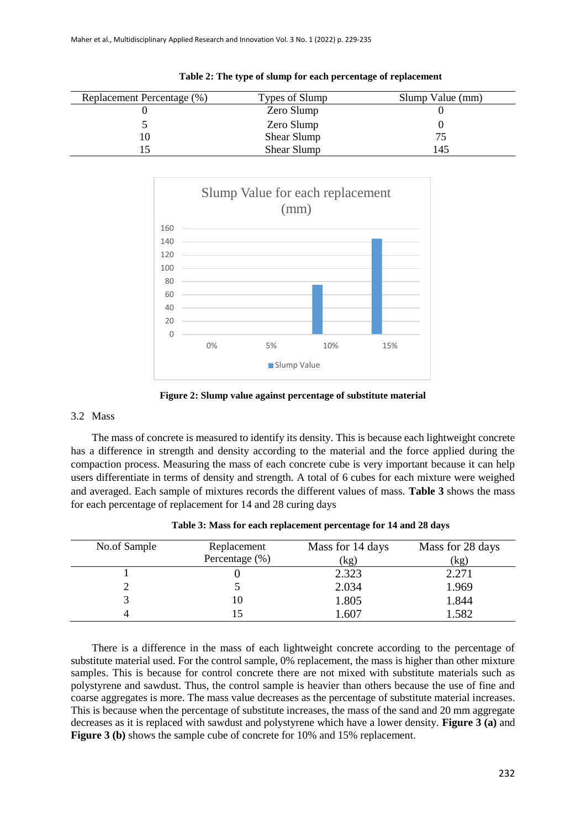| Replacement Percentage (%) | Types of Slump | Slump Value (mm) |
|----------------------------|----------------|------------------|
|                            | Zero Slump     |                  |
|                            | Zero Slump     |                  |
| 10                         | Shear Slump    |                  |
|                            | Shear Slump    | 145              |

**Table 2: The type of slump for each percentage of replacement**



**Figure 2: Slump value against percentage of substitute material**

#### 3.2 Mass

The mass of concrete is measured to identify its density. This is because each lightweight concrete has a difference in strength and density according to the material and the force applied during the compaction process. Measuring the mass of each concrete cube is very important because it can help users differentiate in terms of density and strength. A total of 6 cubes for each mixture were weighed and averaged. Each sample of mixtures records the different values of mass. **Table 3** shows the mass for each percentage of replacement for 14 and 28 curing days

| No.of Sample | Replacement<br>Percentage (%) | Mass for 14 days<br>(kg) | Mass for 28 days<br>(kg) |
|--------------|-------------------------------|--------------------------|--------------------------|
|              |                               | 2.323                    | 2.271                    |
|              |                               | 2.034                    | 1.969                    |
|              | 10                            | 1.805                    | 1.844                    |
|              |                               | .607                     | 1.582                    |

**Table 3: Mass for each replacement percentage for 14 and 28 days**

There is a difference in the mass of each lightweight concrete according to the percentage of substitute material used. For the control sample, 0% replacement, the mass is higher than other mixture samples. This is because for control concrete there are not mixed with substitute materials such as polystyrene and sawdust. Thus, the control sample is heavier than others because the use of fine and coarse aggregates is more. The mass value decreases as the percentage of substitute material increases. This is because when the percentage of substitute increases, the mass of the sand and 20 mm aggregate decreases as it is replaced with sawdust and polystyrene which have a lower density. **Figure 3 (a)** and **Figure 3 (b)** shows the sample cube of concrete for 10% and 15% replacement.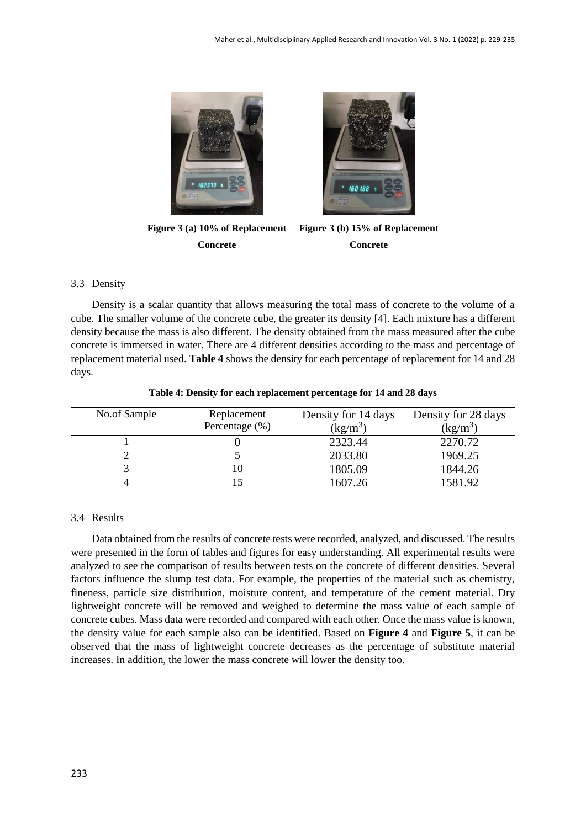



**Figure 3 (a) 10% of Replacement Concrete**

**Figure 3 (b) 15% of Replacement Concrete**

# 3.3 Density

Density is a scalar quantity that allows measuring the total mass of concrete to the volume of a cube. The smaller volume of the concrete cube, the greater its density [4]. Each mixture has a different density because the mass is also different. The density obtained from the mass measured after the cube concrete is immersed in water. There are 4 different densities according to the mass and percentage of replacement material used. **Table 4** shows the density for each percentage of replacement for 14 and 28 days.

| No.of Sample | Replacement<br>Percentage (%) | Density for 14 days<br>$(kg/m^3)$ | Density for 28 days<br>$(kg/m^3)$ |
|--------------|-------------------------------|-----------------------------------|-----------------------------------|
|              |                               | 2323.44                           | 2270.72                           |
|              |                               | 2033.80                           | 1969.25                           |
|              | 10                            | 1805.09                           | 1844.26                           |
|              |                               | 1607.26                           | 1581.92                           |

**Table 4: Density for each replacement percentage for 14 and 28 days**

# 3.4 Results

Data obtained from the results of concrete tests were recorded, analyzed, and discussed. The results were presented in the form of tables and figures for easy understanding. All experimental results were analyzed to see the comparison of results between tests on the concrete of different densities. Several factors influence the slump test data. For example, the properties of the material such as chemistry, fineness, particle size distribution, moisture content, and temperature of the cement material. Dry lightweight concrete will be removed and weighed to determine the mass value of each sample of concrete cubes. Mass data were recorded and compared with each other. Once the mass value is known, the density value for each sample also can be identified. Based on **Figure 4** and **Figure 5**, it can be observed that the mass of lightweight concrete decreases as the percentage of substitute material increases. In addition, the lower the mass concrete will lower the density too.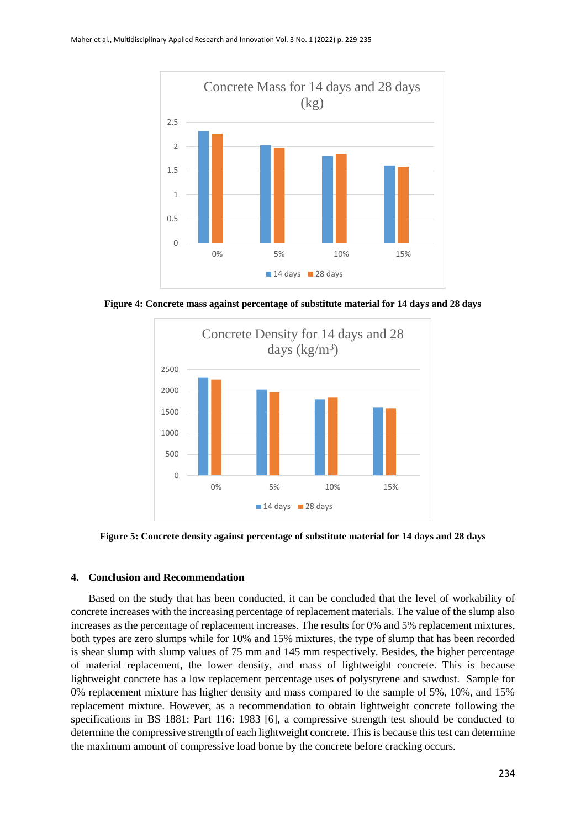

**Figure 4: Concrete mass against percentage of substitute material for 14 days and 28 days**



**Figure 5: Concrete density against percentage of substitute material for 14 days and 28 days**

### **4. Conclusion and Recommendation**

Based on the study that has been conducted, it can be concluded that the level of workability of concrete increases with the increasing percentage of replacement materials. The value of the slump also increases as the percentage of replacement increases. The results for 0% and 5% replacement mixtures, both types are zero slumps while for 10% and 15% mixtures, the type of slump that has been recorded is shear slump with slump values of 75 mm and 145 mm respectively. Besides, the higher percentage of material replacement, the lower density, and mass of lightweight concrete. This is because lightweight concrete has a low replacement percentage uses of polystyrene and sawdust. Sample for 0% replacement mixture has higher density and mass compared to the sample of 5%, 10%, and 15% replacement mixture. However, as a recommendation to obtain lightweight concrete following the specifications in BS 1881: Part 116: 1983 [6], a compressive strength test should be conducted to determine the compressive strength of each lightweight concrete. This is because this test can determine the maximum amount of compressive load borne by the concrete before cracking occurs.